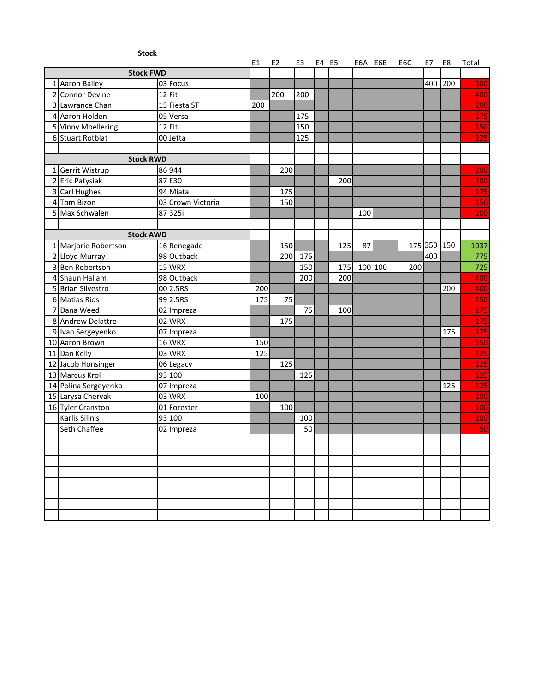| <b>Stock</b>          |                                                                   |     |     |     |  |       |     |         |     |         |     |      |
|-----------------------|-------------------------------------------------------------------|-----|-----|-----|--|-------|-----|---------|-----|---------|-----|------|
| <b>Stock FWD</b>      | E1<br>E <sub>2</sub><br>E4 E5<br>E6A E6B<br>E6C<br>E8<br>E3<br>E7 |     |     |     |  | Total |     |         |     |         |     |      |
| 1 Aaron Bailey        | 03 Focus                                                          |     |     |     |  |       |     |         |     | 400     | 200 | 600  |
| 2 Connor Devine       | 12 Fit                                                            |     | 200 | 200 |  |       |     |         |     |         |     | 400  |
| 3 Lawrance Chan       | 15 Fiesta ST                                                      | 200 |     |     |  |       |     |         |     |         |     | 200  |
| 4 Aaron Holden        | 05 Versa                                                          |     |     | 175 |  |       |     |         |     |         |     | 175  |
| 5 Vinny Moellering    | 12 Fit                                                            |     |     | 150 |  |       |     |         |     |         |     | 150  |
| 6 Stuart Rotblat      | 00 Jetta                                                          |     |     | 125 |  |       |     |         |     |         |     | 125  |
|                       |                                                                   |     |     |     |  |       |     |         |     |         |     |      |
| <b>Stock RWD</b>      |                                                                   |     |     |     |  |       |     |         |     |         |     |      |
| 1 Gerrit Wistrup      | 86 944                                                            |     | 200 |     |  |       |     |         |     |         |     | 200  |
| 2 Eric Patysiak       | 87 E30                                                            |     |     |     |  | 200   |     |         |     |         |     | 200  |
| 3 Carl Hughes         | 94 Miata                                                          |     | 175 |     |  |       |     |         |     |         |     | 175  |
| 4 Tom Bizon           | 03 Crown Victoria                                                 |     | 150 |     |  |       |     |         |     |         |     | 150  |
| 5 Max Schwalen        | 87 325i                                                           |     |     |     |  |       | 100 |         |     |         |     | 100  |
|                       |                                                                   |     |     |     |  |       |     |         |     |         |     |      |
| <b>Stock AWD</b>      |                                                                   |     |     |     |  |       |     |         |     |         |     |      |
| 1 Marjorie Robertson  | 16 Renegade                                                       |     | 150 |     |  | 125   | 87  |         |     | 175 350 | 150 | 1037 |
| 2 Lloyd Murray        | 98 Outback                                                        |     | 200 | 175 |  |       |     |         |     | 400     |     | 775  |
| 3 Ben Robertson       | 15 WRX                                                            |     |     | 150 |  | 175   |     | 100 100 | 200 |         |     | 725  |
| 4 Shaun Hallam        | 98 Outback                                                        |     |     | 200 |  | 200   |     |         |     |         |     | 400  |
| 5 Brian Silvestro     | 00 2.5RS                                                          | 200 |     |     |  |       |     |         |     |         | 200 | 400  |
| 6 Matias Rios         | 99 2.5RS                                                          | 175 | 75  |     |  |       |     |         |     |         |     | 250  |
| 7 Dana Weed           | 02 Impreza                                                        |     |     | 75  |  | 100   |     |         |     |         |     | 175  |
| 8 Andrew Delattre     | 02 WRX                                                            |     | 175 |     |  |       |     |         |     |         |     | 175  |
| 9 Ivan Sergeyenko     | 07 Impreza                                                        |     |     |     |  |       |     |         |     |         | 175 | 175  |
| 10 Aaron Brown        | <b>16 WRX</b>                                                     | 150 |     |     |  |       |     |         |     |         |     | 150  |
| 11 Dan Kelly          | 03 WRX                                                            | 125 |     |     |  |       |     |         |     |         |     | 125  |
| 12 Jacob Honsinger    | 06 Legacy                                                         |     | 125 |     |  |       |     |         |     |         |     | 125  |
| 13 Marcus Krol        | 93 100                                                            |     |     | 125 |  |       |     |         |     |         |     | 125  |
| 14 Polina Sergeyenko  | 07 Impreza                                                        |     |     |     |  |       |     |         |     |         | 125 | 125  |
| 15 Larysa Chervak     | 03 WRX                                                            | 100 |     |     |  |       |     |         |     |         |     | 100  |
| 16 Tyler Cranston     | 01 Forester                                                       |     | 100 |     |  |       |     |         |     |         |     | 100  |
| <b>Karlis Silinis</b> | 93 100                                                            |     |     | 100 |  |       |     |         |     |         |     | 100  |
| Seth Chaffee          | 02 Impreza                                                        |     |     | 50  |  |       |     |         |     |         |     | 50   |
|                       |                                                                   |     |     |     |  |       |     |         |     |         |     |      |
|                       |                                                                   |     |     |     |  |       |     |         |     |         |     |      |
|                       |                                                                   |     |     |     |  |       |     |         |     |         |     |      |
|                       |                                                                   |     |     |     |  |       |     |         |     |         |     |      |
|                       |                                                                   |     |     |     |  |       |     |         |     |         |     |      |
|                       |                                                                   |     |     |     |  |       |     |         |     |         |     |      |
|                       |                                                                   |     |     |     |  |       |     |         |     |         |     |      |
|                       |                                                                   |     |     |     |  |       |     |         |     |         |     |      |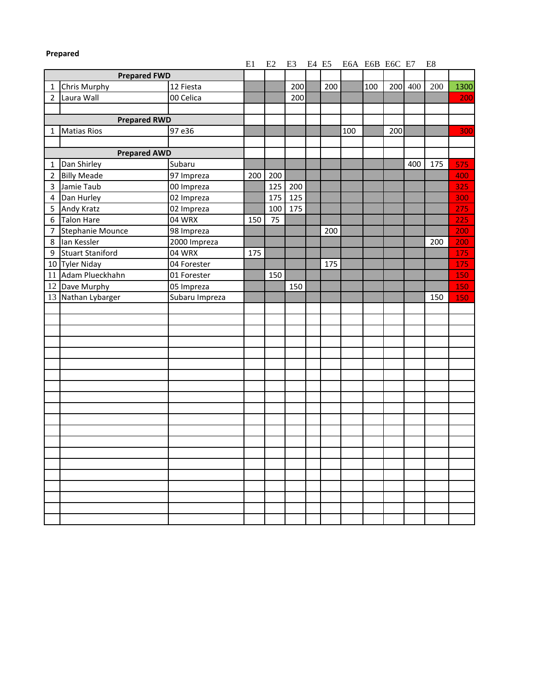| Prepared       |                         |                |     |     |     |  |       |                |     |     |         |     |      |
|----------------|-------------------------|----------------|-----|-----|-----|--|-------|----------------|-----|-----|---------|-----|------|
|                |                         |                | E1  | E2  | E3  |  | E4 E5 | E6A E6B E6C E7 |     |     |         | E8  |      |
|                | <b>Prepared FWD</b>     |                |     |     |     |  |       |                |     |     |         |     |      |
| 1              | Chris Murphy            | 12 Fiesta      |     |     | 200 |  | 200   |                | 100 |     | 200 400 | 200 | 1300 |
| $\overline{2}$ | Laura Wall              | 00 Celica      |     |     | 200 |  |       |                |     |     |         |     | 200  |
|                |                         |                |     |     |     |  |       |                |     |     |         |     |      |
|                | <b>Prepared RWD</b>     |                |     |     |     |  |       |                |     |     |         |     |      |
| 1              | <b>Matias Rios</b>      | 97 e36         |     |     |     |  |       | 100            |     | 200 |         |     | 300  |
|                |                         |                |     |     |     |  |       |                |     |     |         |     |      |
|                | <b>Prepared AWD</b>     |                |     |     |     |  |       |                |     |     |         |     |      |
| 1              | Dan Shirley             | Subaru         |     |     |     |  |       |                |     |     | 400     | 175 | 575  |
| $\overline{2}$ | <b>Billy Meade</b>      | 97 Impreza     | 200 | 200 |     |  |       |                |     |     |         |     | 400  |
| 3              | Jamie Taub              | 00 Impreza     |     | 125 | 200 |  |       |                |     |     |         |     | 325  |
| 4              | Dan Hurley              | 02 Impreza     |     | 175 | 125 |  |       |                |     |     |         |     | 300  |
| 5              | <b>Andy Kratz</b>       | 02 Impreza     |     | 100 | 175 |  |       |                |     |     |         |     | 275  |
| 6              | <b>Talon Hare</b>       | 04 WRX         | 150 | 75  |     |  |       |                |     |     |         |     | 225  |
| 7              | Stephanie Mounce        | 98 Impreza     |     |     |     |  | 200   |                |     |     |         |     | 200  |
| 8              | lan Kessler             | 2000 Impreza   |     |     |     |  |       |                |     |     |         | 200 | 200  |
| 9              | <b>Stuart Staniford</b> | 04 WRX         | 175 |     |     |  |       |                |     |     |         |     | 175  |
|                | 10 Tyler Niday          | 04 Forester    |     |     |     |  | 175   |                |     |     |         |     | 175  |
| 11             | Adam Plueckhahn         | 01 Forester    |     | 150 |     |  |       |                |     |     |         |     | 150  |
|                | 12 Dave Murphy          | 05 Impreza     |     |     | 150 |  |       |                |     |     |         |     | 150  |
|                | 13 Nathan Lybarger      | Subaru Impreza |     |     |     |  |       |                |     |     |         | 150 | 150  |
|                |                         |                |     |     |     |  |       |                |     |     |         |     |      |
|                |                         |                |     |     |     |  |       |                |     |     |         |     |      |
|                |                         |                |     |     |     |  |       |                |     |     |         |     |      |
|                |                         |                |     |     |     |  |       |                |     |     |         |     |      |
|                |                         |                |     |     |     |  |       |                |     |     |         |     |      |
|                |                         |                |     |     |     |  |       |                |     |     |         |     |      |
|                |                         |                |     |     |     |  |       |                |     |     |         |     |      |
|                |                         |                |     |     |     |  |       |                |     |     |         |     |      |
|                |                         |                |     |     |     |  |       |                |     |     |         |     |      |
|                |                         |                |     |     |     |  |       |                |     |     |         |     |      |
|                |                         |                |     |     |     |  |       |                |     |     |         |     |      |
|                |                         |                |     |     |     |  |       |                |     |     |         |     |      |
|                |                         |                |     |     |     |  |       |                |     |     |         |     |      |
|                |                         |                |     |     |     |  |       |                |     |     |         |     |      |
|                |                         |                |     |     |     |  |       |                |     |     |         |     |      |
|                |                         |                |     |     |     |  |       |                |     |     |         |     |      |
|                |                         |                |     |     |     |  |       |                |     |     |         |     |      |
|                |                         |                |     |     |     |  |       |                |     |     |         |     |      |
|                |                         |                |     |     |     |  |       |                |     |     |         |     |      |
|                |                         |                |     |     |     |  |       |                |     |     |         |     |      |